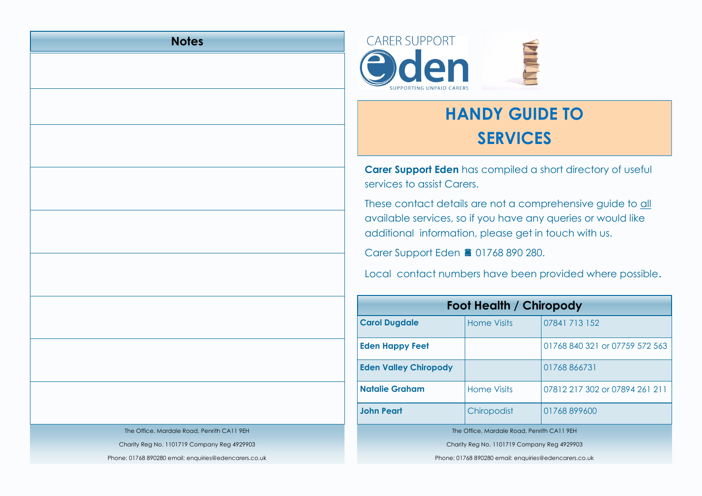## **Notes**





**Carer Support Eden** has compiled a short directory of useful services to assist Carers.

These contact details are not a comprehensive guide to all available services, so if you have any queries or would like additional information, please get in touch with us.

Carer Support Eden **■ 01768 890 280.** 

Local contact numbers have been provided where possible.

| Foot Health / Chiropody                               |                    |                                |  |
|-------------------------------------------------------|--------------------|--------------------------------|--|
| <b>Carol Dugdale</b>                                  | <b>Home Visits</b> | 07841 713 152                  |  |
| <b>Eden Happy Feet</b>                                |                    | 01768 840 321 or 07759 572 563 |  |
| <b>Eden Valley Chiropody</b>                          |                    | 01768866731                    |  |
| <b>Natalie Graham</b>                                 | Home Visits        | 07812 217 302 or 07894 261 211 |  |
| <b>John Peart</b>                                     | Chiropodist        | 01768899600                    |  |
| The Office, Mardale Road, Penrith CA11 9EH            |                    |                                |  |
| Charity Reg No. 1101719 Company Reg 4929903           |                    |                                |  |
| Phone: 01768 890280 email: enquiries@edencarers.co.uk |                    |                                |  |

The Office, Mardale Road, Penrith CA11 9EH

Charity Reg No. 1101719 Company Reg 4929903

Phone: 01768 890280 email: enquiries@edencarers.co.uk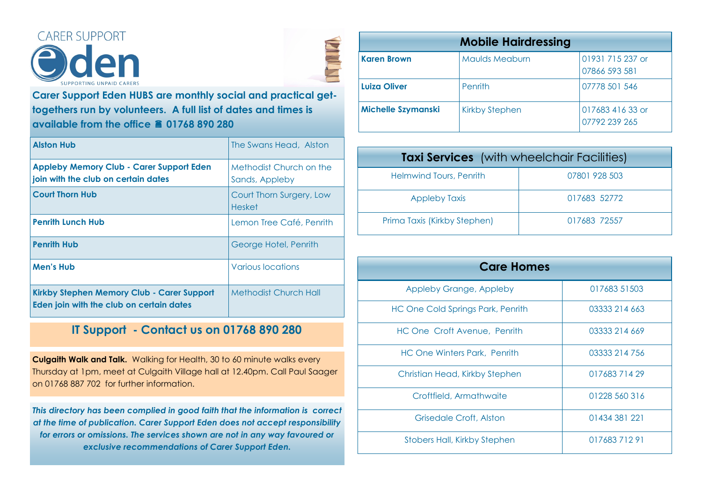



**Carer Support Eden HUBS are monthly social and practical gettogethers run by volunteers. A full list of dates and times is available from the office 01768 890 280**

| <b>Alston Hub</b>                                                                      | The Swans Head, Alston                    |
|----------------------------------------------------------------------------------------|-------------------------------------------|
| <b>Appleby Memory Club - Carer Support Eden</b><br>join with the club on certain dates | Methodist Church on the<br>Sands, Appleby |
| <b>Court Thorn Hub</b>                                                                 | Court Thorn Surgery, Low<br><b>Hesket</b> |
| <b>Penrith Lunch Hub</b>                                                               | Lemon Tree Café, Penrith                  |
| <b>Penrith Hub</b>                                                                     | George Hotel, Penrith                     |
| <b>Men's Hub</b>                                                                       | <b>Various locations</b>                  |
| Kirkby Stephen Memory Club - Carer Support<br>Eden join with the club on certain dates | <b>Methodist Church Hall</b>              |

## **IT Support - Contact us on 01768 890 280**

**Culgaith Walk and Talk.** Walking for Health, 30 to 60 minute walks every Thursday at 1pm, meet at Culgaith Village hall at 12.40pm. Call Paul Saager on 01768 887 702 for further information.

*This directory has been complied in good faith that the information is correct at the time of publication. Carer Support Eden does not accept responsibility for errors or omissions. The services shown are not in any way favoured or exclusive recommendations of Carer Support Eden.*

| <b>Mobile Hairdressing</b> |                       |                                   |  |
|----------------------------|-----------------------|-----------------------------------|--|
| <b>Karen Brown</b>         | <b>Maulds Meaburn</b> | 01931 715 237 or<br>07866 593 581 |  |
| Luiza Oliver               | Penrith               | 07778 501 546                     |  |
| Michelle Szymanski         | <b>Kirkby Stephen</b> | 017683 416 33 or<br>07792 239 265 |  |

| <b>Taxi Services</b> (with wheelchair Facilities) |               |  |
|---------------------------------------------------|---------------|--|
| Helmwind Tours, Penrith                           | 07801 928 503 |  |
| <b>Appleby Taxis</b>                              | 017683 52772  |  |
| Prima Taxis (Kirkby Stephen)                      | 017683 72557  |  |

| <b>Care Homes</b>                        |               |
|------------------------------------------|---------------|
| Appleby Grange, Appleby                  | 017683 51503  |
| <b>HC One Cold Springs Park, Penrith</b> | 03333 214 663 |
| HC One Croft Avenue, Penrith             | 03333 214 669 |
| HC One Winters Park, Penrith             | 03333 214 756 |
| Christian Head, Kirkby Stephen           | 01768371429   |
| Croftfield, Armathwaite                  | 01228 560 316 |
| Grisedale Croft, Alston                  | 01434 381 221 |
| <b>Stobers Hall, Kirkby Stephen</b>      | 01768371291   |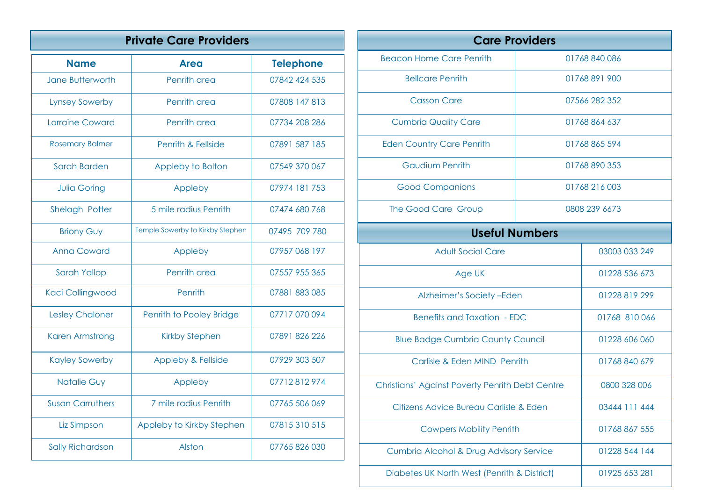| <b>Private Care Providers</b> |                                  |                  |
|-------------------------------|----------------------------------|------------------|
| <b>Name</b>                   | <b>Area</b>                      | <b>Telephone</b> |
| Jane Butterworth              | Penrith area                     | 07842 424 535    |
| <b>Lynsey Sowerby</b>         | Penrith area                     | 07808 147 813    |
| Lorraine Coward               | Penrith area                     | 07734 208 286    |
| <b>Rosemary Balmer</b>        | Penrith & Fellside               | 07891 587 185    |
| <b>Sarah Barden</b>           | Appleby to Bolton                | 07549 370 067    |
| <b>Julia Goring</b>           | Appleby                          | 07974 181 753    |
| Shelagh Potter                | 5 mile radius Penrith            | 07474 680 768    |
| <b>Briony Guy</b>             | Temple Sowerby to Kirkby Stephen | 07495 709 780    |
| <b>Anna Coward</b>            | Appleby                          | 07957 068 197    |
| Sarah Yallop                  | Penrith area                     | 07557 955 365    |
| Kaci Collingwood              | Penrith                          | 07881883085      |
| <b>Lesley Chaloner</b>        | Penrith to Pooley Bridge         | 07717 070 094    |
| <b>Karen Armstrong</b>        | <b>Kirkby Stephen</b>            | 07891 826 226    |
| <b>Kayley Sowerby</b>         | <b>Appleby &amp; Fellside</b>    | 07929 303 507    |
| <b>Natalie Guy</b>            | Appleby                          | 07712812974      |
| <b>Susan Carruthers</b>       | 7 mile radius Penrith            | 07765 506 069    |
| Liz Simpson                   | Appleby to Kirkby Stephen        | 07815310515      |
| <b>Sally Richardson</b>       | Alston                           | 07765826030      |

| <b>Care Providers</b>                                  |               |               |  |
|--------------------------------------------------------|---------------|---------------|--|
| <b>Beacon Home Care Penrith</b>                        |               | 01768840086   |  |
| <b>Bellcare Penrith</b>                                |               | 01768891900   |  |
| <b>Casson Care</b>                                     |               | 07566 282 352 |  |
| <b>Cumbria Quality Care</b>                            | 01768 864 637 |               |  |
| <b>Eden Country Care Penrith</b>                       | 01768865594   |               |  |
| <b>Gaudium Penrith</b>                                 |               | 01768 890 353 |  |
| <b>Good Companions</b>                                 |               | 01768 216 003 |  |
| The Good Care Group                                    |               | 0808 239 6673 |  |
| <b>Useful Numbers</b>                                  |               |               |  |
| <b>Adult Social Care</b>                               |               | 03003 033 249 |  |
| Age UK                                                 |               | 01228 536 673 |  |
| Alzheimer's Society-Eden                               |               | 01228 819 299 |  |
| <b>Benefits and Taxation - EDC</b>                     |               | 01768 810 066 |  |
| <b>Blue Badge Cumbria County Council</b>               |               | 01228 606 060 |  |
| Carlisle & Eden MIND Penrith                           |               | 01768 840 679 |  |
| <b>Christians' Against Poverty Penrith Debt Centre</b> |               | 0800 328 006  |  |
| Citizens Advice Bureau Carlisle & Eden                 |               | 03444 111 444 |  |
| <b>Cowpers Mobility Penrith</b>                        |               | 01768 867 555 |  |
| Cumbria Alcohol & Drug Advisory Service                |               | 01228 544 144 |  |
| Diabetes UK North West (Penrith & District)            |               | 01925 653 281 |  |